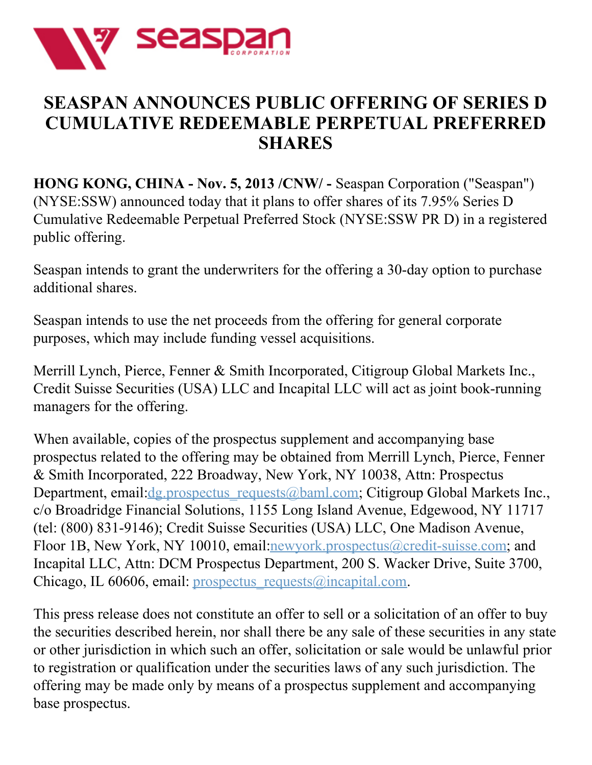

## **SEASPAN ANNOUNCES PUBLIC OFFERING OF SERIES D CUMULATIVE REDEEMABLE PERPETUAL PREFERRED SHARES**

**HONG KONG, CHINA - Nov. 5, 2013 /CNW/ -** Seaspan Corporation ("Seaspan") (NYSE:SSW) announced today that it plans to offer shares of its 7.95% Series D Cumulative Redeemable Perpetual Preferred Stock (NYSE:SSW PR D) in a registered public offering.

Seaspan intends to grant the underwriters for the offering a 30-day option to purchase additional shares.

Seaspan intends to use the net proceeds from the offering for general corporate purposes, which may include funding vessel acquisitions.

Merrill Lynch, Pierce, Fenner & Smith Incorporated, Citigroup Global Markets Inc., Credit Suisse Securities (USA) LLC and Incapital LLC will act as joint book-running managers for the offering.

When available, copies of the prospectus supplement and accompanying base prospectus related to the offering may be obtained from Merrill Lynch, Pierce, Fenner & Smith Incorporated, 222 Broadway, New York, NY 10038, Attn: Prospectus Department, email: <u>dg.prospectus\_requests@baml.com</u>; Citigroup Global Markets Inc., c/o Broadridge Financial Solutions, 1155 Long Island Avenue, Edgewood, NY 11717 (tel: (800) 831-9146); Credit Suisse Securities (USA) LLC, One Madison Avenue, Floor 1B, New York, NY 10010, email[:newyork.prospectus@credit-suisse.com](mailto:newyork.prospectus@credit-suisse.com); and Incapital LLC, Attn: DCM Prospectus Department, 200 S. Wacker Drive, Suite 3700, Chicago, IL 60606, email: prospectus requests@incapital.com.

This press release does not constitute an offer to sell or a solicitation of an offer to buy the securities described herein, nor shall there be any sale of these securities in any state or other jurisdiction in which such an offer, solicitation or sale would be unlawful prior to registration or qualification under the securities laws of any such jurisdiction. The offering may be made only by means of a prospectus supplement and accompanying base prospectus.